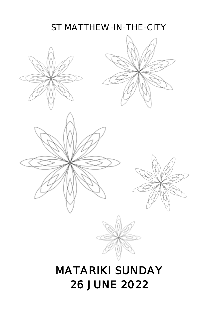### ST MATTHEW-IN-THE-CITY

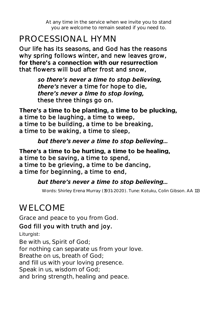*At any time in the service when we invite you to stand you are welcome to remain seated if you need to.*

### PROCESSIONAL HYMN

Our life has its seasons, and God has the reasons why spring follows winter, and new leaves grow, for there's a connection with our resurrection that flowers will bud after frost and snow,

> so there's never a time to stop believing.  *never a time for hope to die, there's never a time to stop loving. these three things go on.*

There's a time to be planting, a time to be plucking, a time to be laughing, a time to weep, a time to be building, a time to be breaking, a time to be waking, a time to sleep,

### but there's never a time to stop believing...

There's a time to be hurting, a time to be healing, a time to be saving, a time to spend, a time to be grieving, a time to be dancing, a time for beginning, a time to end,

### but there's never a time to stop believing...

*Words: Shirley Erena Murray (1931-2020). Tune: Kotuku, Colin Gibson. AA 113*

# WELCOME

Grace and peace to you from God.

### God fill you with truth and joy.

*Liturgist:* 

Be with us, Spirit of God; for nothing can separate us from your love. Breathe on us, breath of God; and fill us with your loving presence. Speak in us, wisdom of God; and bring strength, healing and peace.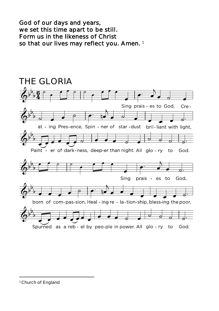God of our days and years, we set this time apart to be still. Form us in the likeness of Christ so that our lives may reflect you. Amen.<sup>1</sup>



*<sup>1</sup> Church of England*

 $\overline{a}$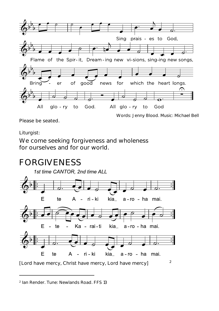

*Please be seated.*

*Words: Jenny Blood. Music: Michael Bell*

#### *Liturgist:*

 $\overline{a}$ 

We come seeking forgiveness and wholeness for ourselves and for our world.

### FORGIVENESS



*[Lord have mercy, Christ have mercy, Lord have mercy]*

*2 Ian Render. Tune: Newlands Road. FFS 13*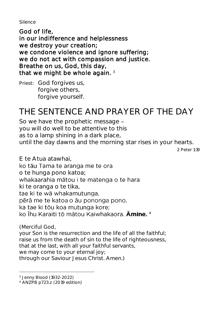*Silence*

God of life, in our indifference and helplessness we destroy your creation; we condone violence and ignore suffering; we do not act with compassion and justice. Breathe on us, God, this day, that we might be whole again.  $3$ 

*Priest:* God forgives us, forgive others. forgive yourself.

# THE SENTENCE AND PRAYER OF THE DAY

So we have the prophetic message you will do well to be attentive to this as to a lamp shining in a dark place, until the day dawns and the morning star rises in your hearts.

*2 Peter 1:19*

E te Atua atawhai, ko tāu Tama te aranga me te ora o te hunga pono katoa; whakaarahia mātou i te matenga o te hara ki te oranga o te tika, tae ki te wā whakamutunga, pērā me te katoa o āu pononga pono. ka tae ki tōu koa mutunga kore; 4

*(Merciful God, your Son is the resurrection and the life of all the faithful; raise us from the death of sin to the life of righteousness, that at the last, with all your faithful servants, we may come to your eternal joy; through our Saviour Jesus Christ. Amen.)*

 $\overline{a}$ 

*<sup>3</sup> Jenny Blood (1932-2022)*

*<sup>4</sup> ANZPB p723.z (2019 edition)*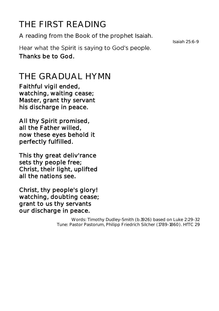# THE FIRST READING

A reading from the Book of the prophet Isaiah.

*Isaiah 25:6-9*

Hear what the Spirit is saying to God's people. Thanks be to God.

### THE GRADUAL HYMN

Faithful vigil ended, watching, waiting cease; Master, grant thy servant his discharge in peace.

All thy Spirit promised, all the Father willed, now these eyes behold it perfectly fulfilled.

This thy great deliv'rance sets thy people free; Christ, their light, uplifted all the nations see.

Christ, thy people's glory! watching, doubting cease; grant to us thy servants our discharge in peace.

> *Words: Timothy Dudley-Smith (b.1926) based on Luke 2:29-32 Tune: Pastor Pastorum, Philipp Friedrich Silcher (1789-1860). HfTC 29*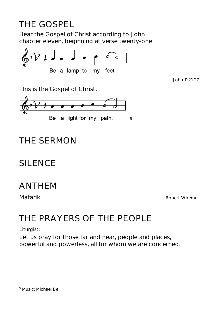# THE GOSPEL

Hear the Gospel of Christ according to John chapter eleven, beginning at verse twenty-one.



*John 11:21-27*

This is the Gospel of Christ.



# THE SERMON

## SILENCE

### ANTHEM

*Matariki Robert Wiremu*

## THE PRAYERS OF THE PEOPLE

*Liturgist:* 

Let us pray for those far and near, people and places, powerful and powerless, all for whom we are concerned.

#### $\overline{a}$ *<sup>5</sup> Music: Michael Bell*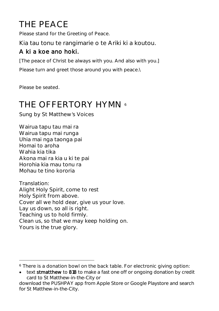# THE PEACE

*Please stand for the Greeting of Peace.*

Kia tau tonu te rangimarie o te Ariki ki a koutou.

### A ki a koe ano hoki.

*[The peace of Christ be always with you. And also with you.] Please turn and greet those around you with peace.\*

*Please be seated.*

 $\overline{a}$ 

## THE OFFFRTORY HYMN 6

*Sung by St Matthew s Voices*

Wairua tapu tau mai ra Wairua tapu mai runga Uhia mai nga taonga pai Homai to aroha Wahia kia tika Akona mai ra kia u ki te pai Horohia kia mau tonu ra Mohau te tino kororia

*Translation: Alight Holy Spirit, come to rest Holy Spirit from above. Cover all we hold dear, give us your love. Lay us down, so all is right. Teaching us to hold firmly. Clean us, so that we may keep holding on. Yours is the true glory.*

<sup>6</sup> *There is a donation bowl on the back table. For electronic giving option:* 

*text stmatthew to 818 to make a fast one off or ongoing donation by credit card to St Matthew-in-the-City or*

*download the PUSHPAY app from Apple Store or Google Playstore and search for St Matthew-in-the-City.*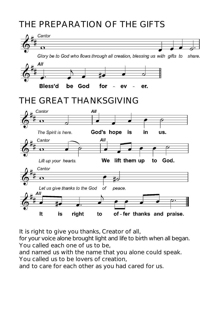### THE PREPARATION OF THE GIFTS



It is right to give you thanks, Creator of all,

for your voice alone brought light and life to birth when all began. You called each one of us to be,

and named us with the name that you alone could speak. You called us to be lovers of creation,

and to care for each other as you had cared for us.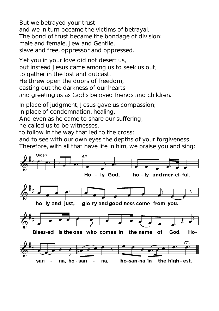But we betrayed your trust and we in turn became the victims of betrayal. The bond of trust became the bondage of division: male and female, Jew and Gentile, slave and free, oppressor and oppressed.

Yet you in your love did not desert us, but instead Jesus came among us to seek us out, to gather in the lost and outcast. He threw open the doors of freedom, casting out the darkness of our hearts and greeting us as God's beloved friends and children.

In place of judgment, Jesus gave us compassion;

in place of condemnation, healing.

And even as he came to share our suffering,

he called us to be witnesses,

to follow in the way that led to the cross;

and to see with our own eyes the depths of your forgiveness. Therefore, with all that have life in him, we praise you and sing:

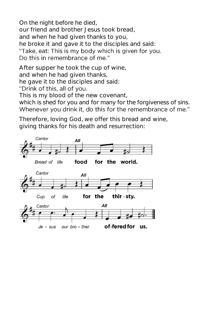On the night before he died, our friend and brother Jesus took bread, and when he had given thanks to you, he broke it and gave it to the disciples and said: "Take, eat: This is my body which is given for you. Do this in remembrance of me."

After supper he took the cup of wine, and when he had given thanks, he gave it to the disciples and said: "Drink of this, all of you. This is my blood of the new covenant,

which is shed for you and for many for the forgiveness of sins. Whenever you drink it, do this for the remembrance of me."

Therefore, loving God, we offer this bread and wine, giving thanks for his death and resurrection:

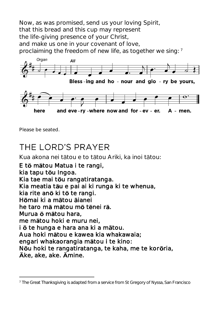Now, as was promised, send us your loving Spirit, that this bread and this cup may represent the life-giving presence of your Christ, and make us one in your covenant of love, proclaiming the freedom of new life, as together we sing: <sup>7</sup>



*Please be seated.*

 $\overline{a}$ 

### THE LORD'S PRAYER

Kua akona nei tātou e to tātou Ariki, ka inoi tātou:

E tō mātou Matua i te rangi, kia tapu t**ō**u Ingoa. Kia tae mai tou rangatiratanga. Kia meatia tāu e pai ai ki runga ki te whenua, kia rite an**ō** ki t**ō** te rangi. Hōmai ki a mātou ājanei he taro mā mātou mō tēnei rā. Murua **ō** m**ā**tou hara, me mātou hoki e muru nei, i  $\bar{o}$  te hunga e hara ana ki a m**a**tou. Aua hoki mātou e kawea kia whakawaia; engari whakaorangia mātou i te kino: Nou hoki te rangatiratanga, te kaha, me te kororia,  $\bar{A}$ ke, ake, ake.  $\bar{A}$ mine.

*<sup>7</sup> The Great Thanksgiving is adapted from a service from St Gregory of Nyssa, San Francisco*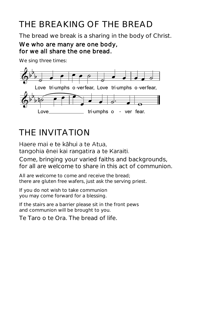# THE BREAKING OF THE BREAD

The bread we break is a sharing in the body of Christ.

### We who are many are one body, for we all share the one bread.

*We sing three times:*



## THE INVITATION

Haere mai e te kāhui a te Atua. tangohia ēnei kai rangatira a te Karaiti.

Come, bringing your varied faiths and backgrounds, for all are welcome to share in this act of communion.

*All are welcome to come and receive the bread; there are gluten free wafers, just ask the serving priest.*

*If you do not wish to take communion you may come forward for a blessing.*

*If the stairs are a barrier please sit in the front pews and communion will be brought to you.*

*Te Taro o te Ora.* The bread of life.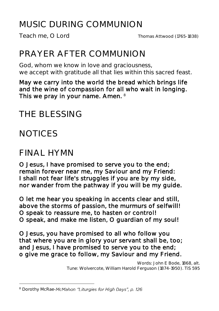# MUSIC DURING COMMUNION

# PRAYER AFTER COMMUNION

God, whom we know in love and graciousness, we accept with gratitude all that lies within this sacred feast.

May we carry into the world the bread which brings life and the wine of compassion for all who wait in longing. This we pray in your name. Amen. 8

### THE BLESSING

**NOTICES** 

### FINAL HYMN

O Jesus, I have promised to serve you to the end; remain forever near me, my Saviour and my Friend: I shall not fear life's struggles if you are by my side, nor wander from the pathway if you will be my guide.

O let me hear you speaking in accents clear and still, above the storms of passion, the murmurs of selfwill! O speak to reassure me, to hasten or control! O speak, and make me listen, O guardian of my soul!

O Jesus, you have promised to all who follow you that where you are in glory your servant shall be, too; and Jesus, I have promised to serve you to the end; o give me grace to follow, my Saviour and my Friend.

> *Words: John E Bode, 1868, alt. Tune: Wolvercote, William Harold Ferguson (1874-1950). TiS 595*

 $\overline{a}$ *<sup>8</sup> Dorothy McRae-*